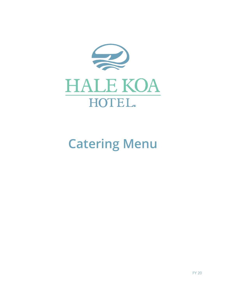

# **Catering Menu**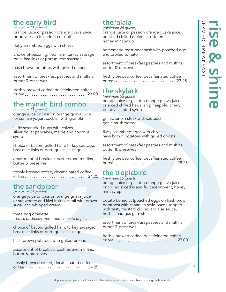# **the early bird**

*(minimum 25 guests)* orange juice or passion orange guava juice or polynesian fresh fruit cocktail

fluffy scrambled eggs with chives

choice of bacon, grilled ham, turkey sausage, breakfast links or portuguese sausage

hash brown potatoes with grilled onions

assortment of breakfast pastries and muffins, butter & preserves

freshly brewed coffee, decaffeinated coffee or tea............................... 23.00

# **the mynah bird combo**

*(minimum 25 guests)*

orange juice or passion orange guava juice or sunrise yogurt cocktail with granola

fluffy scrambled eggs with chives silver dollar pancakes, maple and coconut syrup

choice of bacon, grilled ham, turkey sausage, breakfast links or portuguese sausage

assortment of breakfast pastries and muffins, butter & preserves

freshly brewed coffee, decaffeinated coffee or tea 24.25

# **the sandpiper**

*(minimum 25 guests)* orange juice or passion orange guava juice or strawberry and kiwi fruit cocktail with brown sugar and whipped cream

three egg omelette *(choice of cheese, mushroom, tomato or plain)*

choice of bacon, grilled ham, turkey sausage, breakfast links or portuguese sausage

hash brown potatoes with grilled onions

assortment of breakfast pastries and muffins, butter & preserves

freshly brewed coffee, decaffeinated coffee or tea ........................... 24.25

# **the 'alala**

### *(minimum 25 guests)*

orange juice or passion orange guava juice or sliced chilled melon assortment, honey mint syrup

homemade roast beef hash with poached egg and broiled tomato

assortment of breakfast pastries and muffins, butter & preserves

freshly brewed coffee, decaffeinated coffee or tea 23.25

# **the skylark**

*(minimum 25 guests)* orange juice or passion orange guava juice or sliced chilled hawaiian pineapple, cherry brandy-scented syrup

grilled sirloin steak with sautéed garlic mushrooms

fluffy scrambled eggs with chives hash brown potatoes with grilled onions

assortment of breakfast pastries and muffins, butter & preserves

freshly brewed coffee, decaffeinated coffee or tea 28.25

# **the tropicbird**

*(minimum 25 guests)*

orange juice or passion orange guava juice or chilled sliced island fruit assortment, honey mint syrup

potato benedict (poached eggs on hash brown potatoes) with canadian style bacon topped with zesty mustard dill hollandaise sauce, fresh asparagus garnish

assortment of breakfast pastries and muffins, butter & preserves

freshly brewed coffee, decaffeinated coffee or tea  $\ldots \ldots \ldots \ldots \ldots \ldots \ldots$  27.00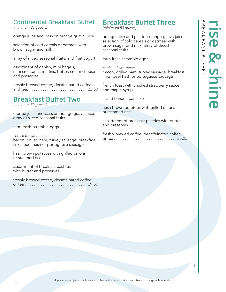# **Continental Breakfast Buffet**

*(minimum 25 guests)*

orange juice and passion orange guava juice

selection of cold cereals or oatmeal with brown sugar and milk

array of sliced seasonal fruits, and fruit yogurt

assortment of danish, mini bagels, mini croissants, muffins, butter, cream cheese and preserves

freshly brewed coffee, decaffeinated coffee and tea 22.50

# **Breakfast Buffet Two**

*(minimum 50 guests)*

orange juice and passion orange guava juice, array of sliced seasonal fruits

farm fresh scramble eggs

*choice of two meats:* bacon, grilled ham, turkey sausage, breakfast links, beef hash or portuguese sausage

hash brown potatoes with grilled onions or steamed rice

assortment of breakfast pastries with butter and preserves

freshly brewed coffee, decaffeinated coffee or tea  $\ldots \ldots \ldots \ldots \ldots \ldots \ldots$  29.50

# **Breakfast Buffet Three**

*(minimum 50 guests)*

orange juice and passion orange guava juice selection of cold cereals or oatmeal with brown sugar and milk, array of sliced seasonal fruits

farm fresh scramble eggs

*choice of two meats:* bacon, grilled ham, turkey sausage, breakfast links, beef hash or portuguese sausage

french toast with crushed strawberry sauce and maple syrup

island banana pancakes

hash brown potatoes with grilled onions or steamed rice

assortment of breakfast pastries with butter and preserves

freshly brewed coffee, decaffeinated coffee or tea 35.25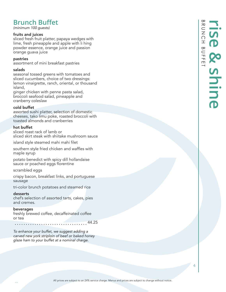# **Brunch Buffet**

*(minimum 100 guests)*

### fruits and juices

sliced fresh fruit platter, papaya wedges with lime, fresh pineapple and apple with li hing powder essence, orange juice and passion orange guava juice

### pastries

assortment of mini breakfast pastries

### salads

seasonal tossed greens with tomatoes and sliced cucumbers, choice of two dressings: lemon vinaigrette, ranch, oriental, or thousand island,

ginger chicken with penne pasta salad, broccoli seafood salad, pineapple and cranberry coleslaw

### cold buffet

assorted sushi platter, selection of domestic cheeses, tako limu poke, roasted broccoli with toasted almonds and cranberries

### hot buffet

sliced roast rack of lamb or sliced skirt steak with shiitake mushroom sauce

island style steamed mahi mahi filet

southern style fried chicken and waffles with maple syrup

potato benedict with spicy dill hollandaise sauce or poached eggs florentine

scrambled eggs

crispy bacon, breakfast links, and portuguese sausage

tri-color brunch potatoes and steamed rice

### desserts

chef's selection of assorted tarts, cakes, pies and cremes.

### beverages

freshly brewed coffee, decaffeinated coffee or tea

44.25

*To enhance your buffet, we suggest adding a carved new york striploin of beef or baked honey glaze ham to your buffet at a nominal charge.*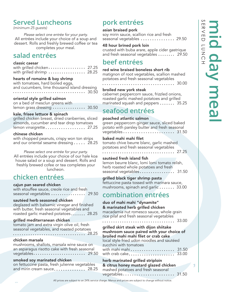# **Served Luncheons**

*(minimum 25 guests)*

*Please select one entrée for your party.* All entrées include your choice of a soup and dessert. Rolls and freshly brewed coffee or tea completes your meal.

# **salad entrées**

### classic caesar

|  |  |  |  |  |  | with grilled chicken  27.25 |
|--|--|--|--|--|--|-----------------------------|
|  |  |  |  |  |  | with grilled shrimp  28.25  |

### hearts of romaine & bay shrimp

| with tomatoes, hard boiled eggs,             |  |
|----------------------------------------------|--|
| and cucumbers, lime thousand island dressing |  |
|                                              |  |

### oriental style grilled salmon

on a bed of mesclun greens with lemon grass dressing ................. 30.50

### kale, frisee lettuce & spinach

grilled chicken breast, dried cranberries, sliced almonds, cucumber and tear drop tomatoes lemon vinaigrette.................... 27.25

### chinese chicken

with chopped peanuts, crispy won ton strips and our oriental sesame dressing  $\ldots$  28.25

*Please select one entrée for your party.* All entrées include your choice of our hale koa house salad or a soup and dessert. Rolls and freshly brewed cofee or tea completes your luncheon.

# **chicken entrées**

### cajun pan seared chicken

with etouffee sauce, creole rice and fresh seasonal vegetables ................... 29.50

### sautéed herb seasoned chicken

deglazed with balsamic vinegar and finished with butter, fresh seasonal vegetables and roasted garlic mashed potatoes  $\ldots \ldots$  28.25

### grilled mediterranean chicken

tomato jam and extra virgin olive oil, fresh seasonal vegetables, and roasted potatoes 28.25

### chicken marsala

mushrooms, shallots, marsala wine sauce on an asparagus risotto cake with fresh seasonal vegetables 29.50

### smoked soy marinated chicken

| on fettuccine pasta, fresh julienne vegetables |  |
|------------------------------------------------|--|
| and mirin cream sauce 28.25                    |  |

# **pork entrées**

### asian braised pork

soy mirin sauce, scallion rice and fresh seasonal vegetables ............... 29.50

### 48 hour brined pork loin

crusted with buba arare, apple cider gastrique and fresh seasonal vegetables  $\ldots \ldots$  29.50

# **beef entrées**

### red wine braised boneless short rib

matignon of root vegetables, scallion mashed potatoes and fresh seasonal vegetables

30.00

### broiled new york steak

cabernet peppercorn sauce, frizzled onions, roasted garlic mashed potatoes and grilled marinated squash and peppers ...... 35.25

# **seafood entrées**

### poached atlantic salmon

green peppercorn ginger sauce, sliced baked potato with parsley butter and fresh seasonal vegetables 31.50

### baked mahi mahi filet

tomato chive beurre blanc, garlic mashed potatoes and fresh seasonal vegetables

27.25

### sautèed fresh island fish

lemon beurre blanc, lomi lomi tomato relish, herb roasted whole potatoes and fresh seasonal vegetables  $\ldots \ldots \ldots \ldots$  31.50

### grilled black tiger shrimp pasta

fettuccine pasta tossed with marinara sauce, mushrooms, spinach and garlic ...... 33.00

# **combination entrées**

### duo of mahi mahi "dynamite" & marinated herb grilled chicken macadamia nut romesco sauce, whole grain rice pilaf and fresh seasonal vegetables

33.00

grilled skirt steak with dijon shiitake mushroom sauce paired with your choice of broiled mahi mahi filet or crab cake local style fried udon noodles and sautéed zucchini with tomatoes with mahi mahi ........................ 31.50 with crab cake 33.00

herb marinated grilled striploin & citrus honey mustard glazed chicken mashed potatoes and fresh seasonal vegetables 31.50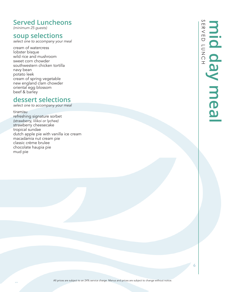# **Served Luncheons**

*(minimum 25 guests)*

# **soup selections**

*select one to accompany your meal*

cream of watercress lobster bisque wild rice and mushroom sweet corn chowder southwestern chicken tortilla navy bean potato leek cream of spring vegetable new england clam chowder oriental egg blossom beef & barley

# **dessert selections**

*select one to accompany your meal*

tiramisu refreshing signature sorbet *(strawberry, lilikoi or lychee)* strawberry cheesecake tropical sundae dutch apple pie with vanilla ice cream macadamia nut cream pie classic crème brulee chocolate haupia pie mud pie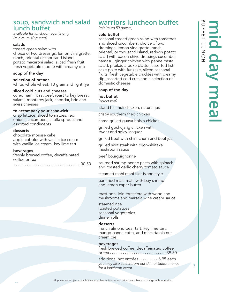# **soup, sandwich and salad lunch buffet**

*available for luncheon events only (minimum 40 guests)*

### salads

tossed green salad with choice of two dressings: lemon vinaigrette, ranch, oriental or thousand island, potato macaroni salad, sliced fresh fruit fresh vegetable crudité with creamy dip

### soup of the day

selection of breads white, whole wheat, 10 grain and light rye

### sliced cold cuts and cheeses

cured ham, roast beef, roast turkey breast, salami, monterey jack, cheddar, brie and swiss cheeses

### to accompany your sandwich

crisp lettuce, sliced tomatoes, red onions, cucumbers, alfalfa sprouts and assorted condiments

### desserts

chocolate mousse cake apple cobbler with vanilla ice cream with vanilla ice cream, key lime tart

### beverages

freshly brewed coffee, decaffeinated coffee or tea

. . . . . . . . . . . . 30.50

# **warriors luncheon buffet**

*(minimum 50 guests)*

### cold buffet

seasonal tossed green salad with tomatoes and sliced cucumbers, choice of two dressings: lemon vinaigrette, ranch, oriental, or thousand island, redskin potato salad with bacon chive dressing, cucumber namasu, ginger chicken with penne pasta salad, pipikaula poke platter, assorted fish cake poke with furikake, sliced seasonal fruits, fresh vegetable crudités with creamy dip, assorted cold cuts and a selection of domestic cheeses

### soup of the day

hot buffet *(select two)*

island huli huli chicken, natural jus

crispy southern fried chicken

flame grilled guava hoisin chicken

grilled gochujang chicken with sweet and spicy lacquer

grilled beef with chimichurri and beef jus

grilled skirt steak with dijon-shiitake mushroom sauce

beef bourguignonne

sauteed shrimp penne pasta with spinach and roasted garlic cherry tomato sauce

steamed mahi mahi filet island style

pan fried mahi mahi with bay shrimp and lemon caper butter

roast pork loin forestiere with woodland mushrooms and marsala wine cream sauce

steamed rice roasted potatoes seasonal vegetables dinner rolls

### desserts

french almond pear tart, key lime tart, mango panna cotta, and macadamia nut cream pie

### beverages

fresh brewed coffee, decaffeinated coffee or tea..............................39.50

additional hot entrées........ 6.95 each *you may also select from our dinner buffet menus for a luncheon event.*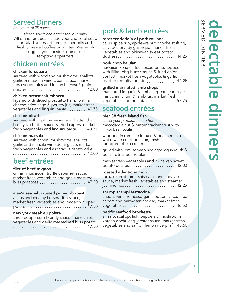# **Served Dinners**

*(minimum of 25 guests)*

*Please select one entrée for your party.* All dinner entrées include your choice of soup or salad, a dessert item, dinner rolls and freshly brewed coffee or hot tea. We highly suggest you consider one of our tempting appetizers.

# **chicken entrées**

### chicken forestiere

sautéed with woodland mushrooms, shallots, garlic & madeira wine cream sauce, market fresh vegetables and indian harvest 5-grain medley............................. 42.00

### chicken breast saltimbocca

layered with sliced proscuitto ham, fontina cheese, fried sage & poultry jus, market fresh vegetables and linguini pasta  $\ldots \ldots$  40.75

### chicken picatta

sautéed with light parmesan egg batter, thai basil yuzu butter sauce & fried capers, market fresh vegetables and linguini pasta  $\ldots$  40.75

### chicken marsala

sautéed with crimini mushrooms, shallots, garlic and marsala wine demi glace, market fresh vegetables and asparagus risotto cake

42.00

# **beef entrées**

### filet of beef mignon

crimini mushroom truffle cabernet sauce, market fresh vegetables and garlic roast red bliss potatoes  $\ldots \ldots \ldots \ldots \ldots$  47.50

### alae'a sea salt crusted prime rib roast

au jus and creamy horseradish sauce, market fresh vegetables and loaded whipped potatoes ......................... 47.50

### new york steak au poivre

three peppercorn brandy sauce, market fresh vegetables and garlic roasted red bliss potato 47.50

# **pork & lamb entrées**

### roast tenderloin of pork roulade

cajun spice rub, apple-walnut brioche stuffing, calvados brandy gastrique, market fresh vegetables and okinawan sweet potato duchess......................... 44.25

### pork chop kaiulani

hawaiian kona coffee spiced brine, topped with lilikoi bbq butter sauce & fried onion confetti, market fresh vegetables & garlic roasted red bliss potato ............. 44.25

### grilled marinated lamb chops

marinated in garlic & herbs, argentinean style mint chimichurri & lamb jus, market fresh vegetables and polenta cake ....... 57.75

# **seafood entrées**

### pier 38 fresh island fish

*select your preparation method:* macadamia nut & butter cracker crust with lilikoi basil coulis

wrapped in romaine lettuce & poached in a white wine court bouillon, fresh tarragon-tobiko cream

grilled with lomi tomato-sea asparagus relish & ponzu citrus beurre blanc

market fresh vegetables and okinawan sweet potato duchess...................... 42.00

### roasted atlantic salmon

furikake crust, ume-shiso aioli and kabayaki sauce, market fresh vegetables and steamed jasmine rice  $\dots\dots\dots\dots\dots\dots$  42.25

### shrimp scampi fettuccine

chablis wine, romesco garlic butter sauce, fried capers and parmesan cheese, market fresh vegetables........................ 46.50

### pacific seafood brochette

shrimp, scallop, fish, peppers & mushrooms, korean gochujang lobster sauce, market fresh vegetables and saffron lemon rice pilaf..45.50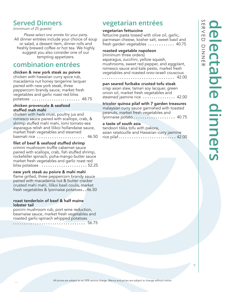# **Served Dinners**

*(minimum of 25 guests)* 

*Please select one entrée for your party.* All dinner entrées include your choice of soup or salad, a dessert item, dinner rolls and freshly brewed coffee or hot tea. We highly suggest you also consider one of our tempting appetizers.

# **combination entrées**

### chicken & new york steak au poivre

chicken with hawaiian curry spice rub, macadamia nut honey tangerine lacquer paired with new york steak, three peppercorn brandy sauce, market fresh vegetables and garlic roast red bliss potatoes ...................... 48.75

### chicken provencale & seafood stuffed mah mahi

chicken with herb crust, poultry jus and romesco sauce paired with scallops, crab, & shrimp stuffed mahi mahi, lomi tomato-sea asparagus relish and lilikoi hollandaise sauce, market fresh vegetables and steamed basmati rice  $\dots\dots\dots\dots\dots\dots$  46.50

### filet of beef & seafood stuffed shrimp

crimini mushroom truffle cabernet sauce paired with scallops, crab, fish stuffed shrimp, rockefeller spinach, poha-mango butter sauce market fresh vegetables and garlic roast red bliss potatoes  $\dots\dots\dots\dots\dots\dots 52.25$ 

### new york steak au poivre & mahi mahi

flame grilled, three peppercorn brandy sauce paired with macadamia nut & butter cracker crusted mahi mahi, lilikoi basil coulis, market fresh vegetables & lyonnaise potatoes..46.50

### roast tenderloin of beef & half maine lobster tail

porcini mushroom rub, port wine reduction, bearnaise sauce, market fresh vegetables and roasted garlic-spinach whipped potatoes

56.75

# **vegetarian entrées**

### vegetarian fettuccine

fettucine pasta tossed with olive oil, garlic, parmesan cheese, kosher salt, sweet basil and fresh garden vegetables  $\dots\dots\dots\dots$  40.75

### roasted vegetable napoleon

(minimum three orders) asparagus, zucchini, yellow squash, mushrooms, sweet red pepper, and eggplant, romesco sauce and kale pesto, market fresh vegetables and roasted orzo-israeli couscous 42.00

pan seared furikake crusted tofu steak

crisp asian slaw, tamari soy lacquer, green onion oil, market fresh vegetables and steamed jasmine rice  $\dots\dots\dots\dots$  42.00

tricolor quinoa pilaf with 7 garden treasures malaysian curry sauce garnished with toasted peanuts, market fresh vegetables and  $l$ yonnaise potato  $\ldots \ldots \ldots \ldots \ldots$  40.75

### a taste of south asia

| tandoori tikka tofu with pakora,             |
|----------------------------------------------|
| asian ratatouille and Hawaiian curry jasmine |
| rice pilaf 42.00                             |

 $\overline{Q}$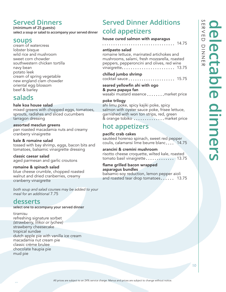# **Served Dinners**

**(minimum of 25 guests) select a soup or salad to accompany your served dinner**

## **soups**

cream of watercress lobster bisque wild rice and mushroom sweet corn chowder southwestern chicken tortilla navy bean potato leek cream of spring vegetable new england clam chowder oriental egg blossom beef & barley

# **salads**

hale koa house salad mixed greens with chopped eggs, tomatoes, sprouts, radishes and sliced cucumbers tarragon dressing

assorted mesclun greens pan roasted macadamia nuts and creamy cranberry vinaigrette

kale & romaine salad tossed with bay shrimp, eggs, bacon bits and tomatoes, balsamic vinaigrette dressing

classic caesar salad aged parmesan and garlic croutons

romaine & spinach salad blue cheese crumble, chopped roasted walnut and dried cranberries, creamy cranberry vinaigrette

*both soup and salad courses may be added to your meal for an additional* 7.75

# **desserts**

**select one to accompany your served dinner**

tiramisu refreshing signature sorbet *(strawberry, lilikoi or lychee)* strawberry cheesecake tropical sundae dutch apple pie with vanilla ice cream macadamia nut cream pie classic crème brulee chocolate haupia pie mud pie

# **Served Dinner Additions cold appetizers**

### house cured salmon with asparagus

### 14.75

### antipasto salad

romaine lettuce, marinated artichokes and mushrooms, salami, fresh mozzarella, roasted peppers, pepperoncini and olives, red wine vinaigrette 13.75

### chilled jumbo shrimp

### cocktail sauce 15.75

seared yellowfin ahi with ogo & puna papaya fan wasabi mustard essence .......market price

### poke trilogy

ahi limu poke, spicy kajiki poke, spicy salmon with oyster sauce poke, frisee lettuce, garnished with won ton strips, red, green & orange tobiko ..............market price

# **hot appetizers**

### pacific crab cakes

sautéed horenso spinach, sweet red pepper coulis, calamansi lime beurre blanc.... 14.75

### arancini & cremini mushroom

risotto cheese croquette, wilted kale, roasted tomato basil vinaigrette  $\ldots \ldots \ldots$  13.75

### flame grilled bacon wrapped asparagus bundles

balsamic-soy reduction, lemon pepper aioli and roasted tear drop tomatoes......  $13.75$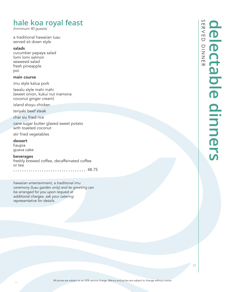# **hale koa royal feast**

*(minimum 40 guests)*

a traditional hawaiian luau served sit down style

### salads

cucumber papaya salad lomi lomi salmon seaweed salad fresh pineapple poi

### main course

imu style kalua pork

lawalu style mahi mahi (sweet onion, kukui nut inamona coconut ginger cream)

island shoyu chicken

teriyaki beef steak

char siu fried rice

cane sugar butter glazed sweet potato with toasted coconut

stir fried vegetables

dessert haupia guava cake

beverages

freshly brewed coffee, decaffeinated coffee or tea

.............. 48.75

*hawaiian entertainment, a traditional imu ceremony (luau garden only) and lei greeting can be arranged for you upon request at additional charges. ask your catering representative for details.*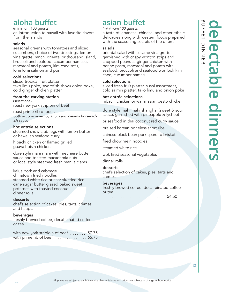# **aloha buffet**

(minimum 100 guests) an introduction to hawaii with favorite flavors from the islands

### salads

seasonal greens with tomatoes and sliced cucumbers, choice of two dressings: lemon vinaigrette, ranch, oriental or thousand island, broccoli and seafood, cucumber namasu, macaroni and potato, kim chee tofu, lomi lomi salmon and poi

### cold selections

sliced tropical fruit platter tako limu poke, swordfish shoyu onion poke, cold ginger chicken platter

### from the carving station **(select one)**

roast new york striploin of beef

roast prime rib of beef, *both accompanied by au jus and creamy horseradish sauce*

### hot entrée selections

steamed snow crab legs with lemon butter or hawaiian seafood curry

hibachi chicken or flamed grilled guava hoisin chicken

dore style mahi mahi with meuniere butter sauce and toasted macadamia nuts or local style steamed fresh manila clams

kalua pork and cabbage chinatown fried noodles steamed white rice or char siu fried rice cane sugar butter glazed baked sweet potatoes with toasted coconut dinner rolls

### desserts

chef's selection of cakes, pies, tarts, crèmes, and haupia

### beverages

freshly brewed coffee, decaffeinated coffee or tea

| with new york striploin of beef  57.75 |  |  |  |
|----------------------------------------|--|--|--|
| with prime rib of beef  65.75          |  |  |  |

# **asian buffet**

### *(minimum 100 guests)*

a taste of japanese, chinese, and other ethnic delicacies along with western foods prepared with the seasoning secrets of the orient

### salads

oriental salad with sesame vinaigrette, garnished with crispy wonton strips and chopped peanuts, ginger chicken with penne pasta, macaroni and potato with seafood, broccoli and seafood won bok kim chee, cucumber namasu

### cold selections

sliced fresh fruit platter, sushi assortment, cold saimin platter, tako limu and onion poke

### hot entrée selections

hibachi chicken or warm asian pesto chicken

dore style mahi mahi shanghai (sweet & sour sauce, garnished with pineapple & lychee)

or seafood in thai coconut red curry sauce

braised korean boneless short ribs

chinese black bean pork sparerib brisket

fried chow mein noodles

steamed white rice

wok fired seasonal vegetables

### dinner rolls

### desserts

chef's selection of cakes, pies, tarts and crèmes

### beverages freshly brewed coffee, decaffeinated coffee or tea

54.50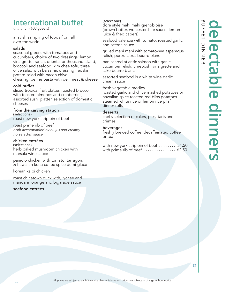# **international buffet**

*(minimum 100 guests)*

a lavish sampling of foods from all over the world

### salads

seasonal greens with tomatoes and cucumbers, choice of two dressings: lemon vinaigrette, ranch, oriental or thousand island, broccoli and seafood, kim chee tofu, three olive salad with balsamic dressing, redskin potato salad with bacon chive dressing, penne pasta with deli meat & cheese

### cold buffet

sliced tropical fruit platter, roasted broccoli with toasted almonds and cranberries, assorted sushi platter, selection of domestic cheeses

### from the carving station **(select one)**

roast new york striploin of beef

roast prime rib of beef *both accompanied by au jus and creamy horseradish sauce*

### chicken entrées

**(select one)** herb baked mushroom chicken with marsala wine sauce

paniolo chicken with tomato, tarragon, & hawaiian kona coffee spice demi-glace

korean kalbi chicken

roast chinatown duck with, lychee and mandarin orange and bigarade sauce

### seafood entrées

### **(select one)**

dore style mahi mahi grenobloise (brown butter, worcestershire sauce, lemon juice & fried capers)

seafood valencia with tomato, roasted garlic and saffron sauce

grilled mahi mahi with tomato-sea asparagus relish, ponzu citrus beurre blanc

pan seared atlantic salmon with garlic cucumber relish, umeboshi vinaigrette and sake beurre blanc

assorted seafood in a white wine garlic cream sauce

fresh vegetable medley roasted garlic and chive mashed potatoes or hawaiian spice roasted red bliss potatoes steamed white rice or lemon rice pilaf dinner rolls

### desserts

chef's selection of cakes, pies, tarts and crèmes

### beverages

freshly brewed coffee, decaffeinated coffee or tea

with new york striploin of beef  $\,\ldots\ldots$ . 54.50 with prime rib of beef  $\ldots \ldots \ldots \ldots$  62.50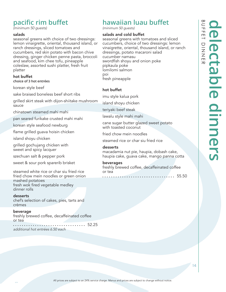# **pacific rim buffet**

*(minimum 50 guests)*

### salads

seasonal greens with choice of two dressings: lemon vinaigrette, oriental, thousand island, or ranch dressings, sliced tomatoes and cucumbers, red skin potato with bacon chive dressing, ginger chicken penne pasta, broccoli and seafood, kim chee tofu, pineapple coleslaw, assorted sushi platter, fresh fruit platter

### hot buffet **choice of 3 hot entrées**

korean style beef

sake braised boneless beef short ribs

grilled skirt steak with dijon-shiitake mushroom sauce

chinatown steamed mahi mahi

pan seared furikake crusted mahi mahi

korean style seafood newburg

flame grilled guava hoisin chicken

island shoyu chicken

grilled gochujang chicken with sweet and spicy lacquer

szechuan salt & pepper pork

sweet & sour pork sparerib brisket

steamed white rice or char siu fried rice fried chow mein noodles or green onion mashed potatoes fresh wok fired vegetable medley dinner rolls

### desserts

chef's selection of cakes, pies, tarts and crèmes

### beverage

freshly brewed coffee, decaffeinated coffee or tea

................................ 52.25 *additional hot entrées 6.50 each* 

# **hawaiian luau buffet**

*(minimum 50 guests)*

### salads and cold buffet

seasonal greens with tomatoes and sliced cucumbers, choice of two dressings: lemon vinaigrette, oriental, thousand island, or ranch dressings, potato macaroni salad cucumber namasu swordfish shoyu and onion poke pipkaula poke lomilomi salmon poi fresh pineapple

### hot buffet

imu style kalua pork

island shoyu chicken

teriyaki beef steak

lawalu style mahi mahi

cane sugar butter glazed sweet potato with toasted coconut

fried chow mein noodles

steamed rice or char siu fried rice

### desserts

macadamia nut pie, haupia, dobash cake, haupia cake, guava cake, mango panna cotta

### beverages

freshly brewed coffee, decaffeinated coffee or tea

 $\cdots$  55.50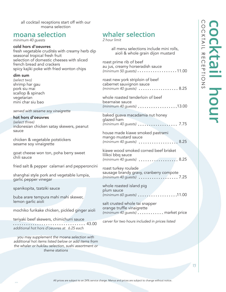all cocktail receptions start off with our moana selection

# **moana selection**

*minimum 40 guests*

### cold hors d'oeuvres fresh vegetable crudités with creamy herb dip seasonal tropical fresh fruit selection of domestic cheeses with sliced french bread and crackers spicy kajiki poke with fried wonton chips dim sum *(select two)* shrimp har gau pork siu mai scallop & spinach vegetarian mini char siu bao *served with sesame soy vinaigrette* hot hors d'oeuvres *(select three)* indonesian chicken satay skewers, peanut sauce chicken & vegetable potstickers sesame soy vinaigrette goat cheese won ton, poha berry sweet chili sauce fried salt & pepper calamari and pepperoncini shanghai style pork and vegetable lumpia, garlic pepper vinegar spanikopita, tzatziki sauce buba arare tempura mahi mahi skewer, lemon garlic aioli mochiko furikake chicken, pickled ginger aioli teriyaki beef skewers, chimichurri sauce 43.00 *additional hot hors d'oeuvres at 6.25 each you may supplement the moana selection with additional hot items listed below or add items from the whaler or hukilau selection, sushi assortment or*  all menu selections include mini rolls, aioli & whole grain dijon mustard roast prime rib of beef au jus, creamy horseradish sauce *(minimum 50 guests)* ..................11.00 roast new york striploin of beef cabernet sauvignon sauce *(minimum 40 guests)*  $\ldots \ldots \ldots \ldots \ldots \ldots 8.25$ whole roasted tenderloin of beef bearnaise sauce *(minimum 40 guests)* 13.00 baked guava macadamia nut honey glazed ham *(minimum 40 guests)* ..................... 7.75 house made kiawe smoked pastrami mango mustard sauce *(minimum 40 guests) ....................*8.25 kiawe wood smoked corned beef brisket lilikoi bbq sauce *(minimum 40 guests)* ..................8.25 roast turkey roulade sausage brandy gravy, cranberry compote *(minimum 40 guests)* 7.25 whole roasted island pig plum sauce *(minimum 60 guests) ...................11.00* salt crusted whole tai snapper orange truffle vinaigrette *(minimum 40 guests)* ........... market price *carver for two hours included in prices listed*

*theme stations*

# **whaler selection**

*2 hour limit*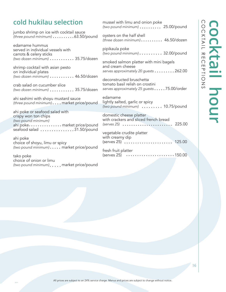# **cold hukilau selection**

jumbo shrimp on ice with cocktail sauce *(three pound minimum)* .........63.50/pound

edamame hummus served in individual vessels with carrots & celery sticks *(two dozen minimum)* 35.75/dozen

shrimp cocktail with asian pesto on individual plates *(two dozen minimum)* 46.50/dozen

crab salad on cucumber slice *(two dozen minimum)* 35.75/dozen

ahi sashimi with shoyu mustard sauce *(three pound minimum)* . . . . market price/pound

ahi poke or seafood salad with crispy won ton chips *(two pound minimum)* ahi poke............... market price/pound seafood salad ...............31.50/pound

ahi poke choice of shoyu, limu or spicy *(two pound minimum)* . . . . . market price/pound

tako poke choice of onion or limu *(two pound minimum)*....market price/pound mussel with limu and onion poke *(two pound minimum)* 25.00/pound

oysters on the half shell *(three dozen minimum)* 46.50/dozen

pipikaula poke *(two pound minimum)* . . . . . . . . . 32.00/pound

smoked salmon platter with mini bagels and cream cheese serves approximately 20 guests . . . . . . . . 262.00

deconstructed bruschetta tomato basil relish on crostini *serves approximately 25 guests* 75.00/order

edamame lightly salted, garlic or spicy *(two pound minimum)* 10.75/pound

domestic cheese platter with crackers and sliced french bread *(serves 25)* 225.00

vegetable crudite platter with creamy dip (serves 25) 125.00

fresh fruit platter  $(serves 25)$  ............................150.00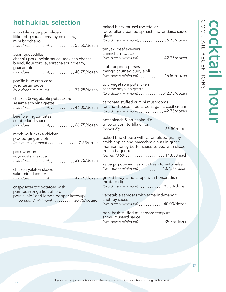# **hot hukilau selection**

imu style kalua pork sliders lilikoi bbq sauce, creamy cole slaw, mini brioche roll *(two dozen minimum)* 58.50/dozen

asian quesadillas char siu pork, hoisin sauce, mexican cheese blend, flour tortilla, sriracha sour cream, guacamole *(two dozen minimum)* 40.75/dozen

pacific blue crab cake yuzu tartar sauce *(two dozen minimum)* 77.25/dozen

chicken & vegetable potstickers sesame soy vinaigrette *(two dozen minimum)* 46.00/dozen

beef wellington bites cumberland sauce *(two dozen minimum)* 66.75/dozen

mochiko furikake chicken pickled ginger aioli *(minimum 12 orders)* 7.25/order

pork wonton soy-mustard sauce *(two dozen minimum)* 39.75/dozen

chicken yakitori skewer sake-mirin lacquer *(two dozen minimum)* 42.75/dozen

crispy tater tot potatoes with parmesan & garlic truffle oil porcini aioli and lemon pepper ketchup *(three pound minimum)* ......... 30.75/pound baked black mussel rockefeller rockefeller creamed spinach, hollandaise sauce glaze *(two dozen minimum)*...........56.75/dozen

teriyaki beef skewers chimichurri sauce *(two dozen minimum)* 42.75/dozen

crab rangoon purses mango chutney, curry aioli *(two dozen minimum)* 46.50/dozen

tofu vegetable potstickers sesame soy vinaigrette *(two dozen minimum)* 42.75/dozen

caponata stuffed crimini mushrooms fontina cheese, fried capers, garlic basil cream *(two dozen minimum)* 42.75/dozen

hot spinach & artichoke dip tri color corn tortilla chips *(serves 20)* 69.50/order

baked brie cheese with caramelized granny smith apples and macadamia nuts in grand marnier honey butter sauce served with sliced french baguette *(serves 40-50)* ...................... 143.50 each

kalua pig quesadillas with fresh tomato salsa *(two dozen minimum)* 40.75/ dozen

grilled baby lamb chops with horseradish mustard dip *(two dozen minimum)* . . . . . . . . . . 83.50/dozen

vegetable samosas with tamarind-mango chutney sauce *(two dozen minimum)* 40.00/dozen

pork hash stuffed mushroom tempura, shoyu mustard sauce *(two dozen minimum)* 39.75/dozen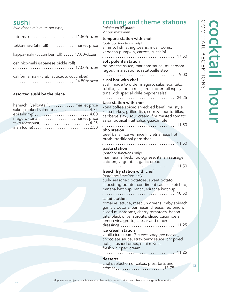# **sushi**

*(two dozen minimum per type)*

| futo-maki  21.50/dozen                                   |
|----------------------------------------------------------|
| tekka-maki (ahi roll)  market price                      |
| kappa-maki (cucumber roll)  17.00/dozen                  |
| oshinko-maki (japanese pickle roll)                      |
| california maki (crab, avocado, cucumber)<br>24.50/dozen |

### assorted sushi by the piece

| hamachi (yellowtail) market price<br>sake (smoked salmon)  4.75 |  |
|-----------------------------------------------------------------|--|
| ebi (shrimp) 4.00                                               |  |
| maguro (tuna)market price<br>tako (octopus)4.25                 |  |
| inari (cone)2.50                                                |  |

# **cooking and theme stations**

*(minimum 50 guests) 2 hour maximum*

| tempura station with chef<br>(outdoor functions only)<br>shrimp, fish, string beans, mushrooms,                                                                                                                                                                 |
|-----------------------------------------------------------------------------------------------------------------------------------------------------------------------------------------------------------------------------------------------------------------|
| kabocha pumpkin, carrots, zucchini<br>17.50<br>soft polenta station<br>bolognese sauce, marinara sauce, mushroom<br>ragout, marscapone, ratatouille stew                                                                                                        |
| 9.00<br>sushi bar with chef<br>sushi made to order maguro, sake, ebi, tako,<br>tobiko, california rolls, fire cracker roll (spicy<br>tuna with special chile pepper salsa)<br>24.25                                                                             |
| taco station with chef<br>kona coffee spiced shredded beef, imu style<br>kalua turkey, grilled fish, corn & flour tortillas,<br>cabbage slaw, sour cream, fire roasted tomato<br>salsa, tropical fruit salsa, guacamole<br>11.50                                |
| pho station<br>beef balls, rice vermicelli, vietnamese hot<br>broth, traditional garnishes                                                                                                                                                                      |
| 11.50<br>pasta station<br>(outdoor functions only)<br>marinara, alfredo, bolognese, italian sausage,<br>chicken, vegetable, garlic bread                                                                                                                        |
| 11.50<br>french fry station with chef<br>(outdoors functions only)<br>curly seasoned potatoes, sweet potato,<br>shoestring potato, condiment sauces: ketchup,<br>banana ketchup, ranch, sriracha ketchup<br>10.50                                               |
| salad station<br>romaine lettuce, mesclun greens, baby spinach<br>garlic croutons, parmesan cheese, red onion,<br>sliced mushrooms, cherry tomatoes, bacon<br>bits, black olive, sprouts, sliced cucumbers<br>lemon vinaigrette, caesar and ranch<br>dressings. |
| ice cream station<br>vanilla ice cream (3 ounce scoop per person),<br>chocolate sauce, strawberry sauce, chopped<br>nuts, crushed oreos, mini m&ms,<br>fresh whipped cream                                                                                      |
| 11.25<br>desserts<br>chef's selection of cakes, pies, tarts and                                                                                                                                                                                                 |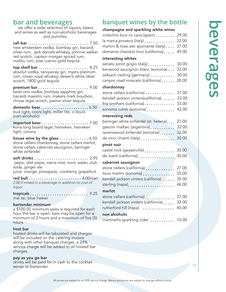# **bar and beverages**<br>we offer a wide selection of liquors, beers

and wines as well as non-alcoholic beverages and punches.

call bar 7.50 new amsterdam vodka, bombay gin, bacardi silver rum, jack daniels whiskey, johnnie walker red scotch, captain morgan spiced rum, malibu rum, jose cuervo gold tequila

top shelf bar  $\ldots$ ....................... 8.25 absolut vodka, tanqueray gin, myers platinum rum, crown royal whiskey, dewer's white label scotch, 1800 gold tequila

premium  $bar \dots \dots \dots \dots \dots \dots \dots$  9.00 ketel one vodka, bombay sapphire gin, bacardi maestro rum, makers mark bourbon, chivas regal scotch, patron silver tequila

domestic beer........................ 6.50 bud light, coors light, miller lite, o'douls (non-alcoholic)

 $imported beer \ldots \ldots \ldots \ldots \ldots \ldots \ldots 7.00$ kona long board lager, heineken, heineken light, corona

house wine by the glass  $\ldots \ldots \ldots \ldots 6.50$ stone cellars chardonnay, stone cellars merlot, stone cellars cabernet sauvignon, beringer white zinfandel

soft drinks 2.95 pepsi, diet pepsi, sierra mist, tonic water, club soda, ginger ale

juice: orange, pineapple, cranberry, grapefruit

red bull  $\cdots$ ........................ 4.00/can *2.00 if mixed in a beverage in addition to cost of liquor*

tropicals  $\ldots \ldots \ldots \ldots \ldots \ldots \ldots \ldots$  9.25 mai tai, blue hawaii

### bartender minimum

a \$100.00 minimum sales is required for each hour the bar is open. bars may be open for a minimum of 2 hours and a maximum of five (5) hours.

### host bar

hosted drinks will be tabulated and charges will be included on the catering invoice along with other banquet charges. a 24% service charge will be added to all hosted bar charges.

### pay as you go bar

drinks will be paid for in cash to the cocktail server or bartender.

# **banquet wines by the bottle**

### champagne and sparkling white wines

| cristolino brut nv cava (spain) $\dots \dots$ 29.00   |  |
|-------------------------------------------------------|--|
| la marca proseco (italy) $\dots\dots\dots\dots$ 32.00 |  |
| martini & rossi asti spumante (italy) $\dots$ 37.00   |  |
| domaine chandon brut (california) 49.00               |  |
|                                                       |  |

### interesting whites

| zenato pinot grigio (italy) 30.00       |  |
|-----------------------------------------|--|
| kenwood sauvignon blanc (sonoma) 33.00  |  |
| selbach riesling (germany)  30.00       |  |
| canyon road moscato (california)  28.00 |  |

### chardonnay

| <u>Charaonnay</u>                          |       |
|--------------------------------------------|-------|
| stone cellars (california)  27.00          |       |
| kendall jackson vinters(california)  33.00 |       |
| frie brothers (california)  33.00          |       |
| sonoma cutrer (sonoma) 42.00               |       |
| interesting reds                           |       |
| beringer white zinfandel (st. helena)      | 27.00 |
| gascon malbec (argentina)                  | 32.00 |
| ravenswood zinfandel (sonoma)              | 32.00 |
| da vinci chianti (italy)                   | 30.00 |
| pinot noir                                 |       |
| castle rock (geyserville)                  | 30.00 |
| de loach (california)                      | 30.00 |
| cabernet sauvignon                         |       |
| stone cellers (california)                 | 27.00 |
| louis martini (sonoma)                     | 35.00 |
| kendall jackson vinters (califonia)        | 35.00 |
| sterling (napa)                            | 46.00 |
|                                            |       |

### merlot

| stone cellars (california)  27.00          |  |
|--------------------------------------------|--|
| kendall jackson vinters (california) 32.00 |  |
| rutherford hill (napa)  40.00              |  |
| non alcoholic                              |  |
| martinellis sparkling cider  10.00         |  |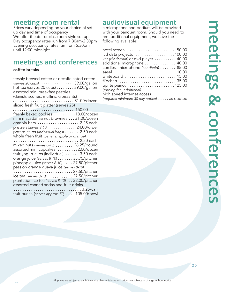# **meeting room rental**

Prices vary depending on your choice of set up day and time of occupancy. We offer theater or classroom style set up. Day occupancy rates run from 7:30am-2:30pm Evening occupancy rates run from 5:30pm until 12:00 midnight.

# **meetings and conferences**

### coffee breaks

freshly brewed coffee or decaffeinated coffee *(serves 20 cups)* 39.00/gallon hot tea (serves 20 cups) $\ldots \ldots \ldots$ 39.00/gallon assorted mini breakfast pastries (danish, scones, muffins, croissants) ............................31.00/dozen sliced fresh fruit platter (serves 25) 150.00 freshly baked cookies  $\ldots \ldots \ldots 18.00$ /dozen mini macadamia nut brownies ... 31.00/dozen granola bars  $\dots\dots\dots\dots\dots$  2.25 each pretzels*(serves 8-10)* ........... 24.00/order potato chips (*individual bags*) 2.50 each whole fresh fruit *(banana, apple or orange)* ........................... 2.50 each mixed nuts *(serves 8-10)* ....... 26.25/pound assorted mini cupcakes .......32.00/dozen fruit yogurt cups (individual)  $\dots \dots$  3.50 each orange juice *(serves 8-10)* .......35.75/pitcher pineapple juice *(serves 8-10)* 27.50/pitcher passion orange guava juice *(serves 8-10)* 27.50/pitcher ice tea *(serves 8-10)* .......... 27.50/pitcher plantation ice tea (serves 8-10)... 32.00/pitcher assorted canned sodas and fruit drinks 3.25/can fruit punch (*serves approx.* 50) . . . . 105.00/bowl

# **audiovisual equipment**

a microphone and podium will be provided with your banquet room. Should you need to rent additional equipment, we have the following available:

| hotel screen 50.00                                                          |  |
|-----------------------------------------------------------------------------|--|
| Icd data projector 100.00                                                   |  |
| vcr (vhs format) or dvd player  40.00                                       |  |
| additional microphone  40.00                                                |  |
| cordless microphone (handheld)  85.00                                       |  |
| easel  10.00                                                                |  |
| whiteboard $\,\ldots\ldots\ldots\ldots\ldots\ldots\ldots\,$ 15.00           |  |
| ${\sf flipchart}\; \ldots\ldots\ldots\ldots\ldots\ldots\ldots\ldots\,35.00$ |  |
| uprite piano $\dots\dots\dots\dots\dots\dots\dots$ 125.00                   |  |
| (turning fee, additional)                                                   |  |
| high speed internet access                                                  |  |
| (requires minimum 30 day notice)  as quoted                                 |  |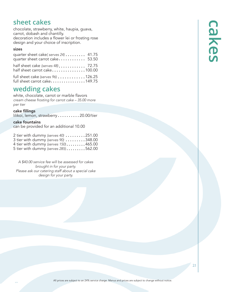# **sheet cakes**

chocolate, strawberry, white, haupia, guava, carrot, dobash and chantilly. decoration includes a flower lei or frosting rose design and your choice of inscription.

### sizes

| quarter sheet cake(serves 24)  41.75<br>quarter sheet carrot cake 53.50 |  |
|-------------------------------------------------------------------------|--|
| half sheet cake (serves 48) 72.75<br>half sheet carrot cake100.00       |  |
| full sheet cake (serves $96$ ) 126.25<br>full sheet carrot cake149.75   |  |

# **wedding cakes**

white, chocolate, carrot or marble flavors *cream cheese frosting for carrot cake – 35.00 more per tier*

### cake fillings

lilikoi, lemon, strawberry .........20.00/tier

### cake fountains

can be provided for an additional 10.00

| 2 tier with dummy (serves 40) 251.00 |  |
|--------------------------------------|--|
| 3 tier with dummy (serves 90) 348.00 |  |
| 4 tier with dummy (serves 150)465.00 |  |
| 5 tier with dummy (serves 285)562.00 |  |

*A \$40.00 service fee will be assessed for cakes brought in for your party. Please ask our catering staff about a special cake design for your party.*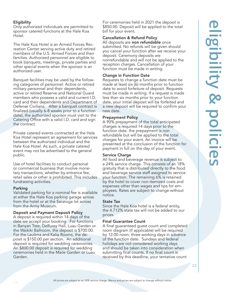# **eligibility & policies Sibility & policie**

### **Eligibility**

Only authorized individuals are permitted to sponsor catered functions at the Hale Koa Hotel.

The Hale Koa Hotel is an Armed Forces Recreation Center serving active duty and retired members of the U.S. Armed Forces and their families. Authorized personnel are eligible to book banquets, meetings, private parties and other special events when the sponsor is an authorized user.

Banquet facilities may be used by the following categories of personnel: Active or retired military personnel and their dependents, active or retired Reserve and National Guard members who possess a valid and current I.D. card and their dependents and Department of Defense Civilians. After a banquet contract is finalized (usually 6-8 weeks prior to a function date), the authorized sponsor must visit to the Catering Office with a valid I.D. card and sign the contract.

Private catered events contracted at the Hale Koa Hotel represent an agreement for services between the authorized individual and the Hale Koa Hotel. As such, a private catered event may not be advertised to the general public.

Use of hotel facilities to conduct personal or commercial business that involve monetary transactions, whether by entrance fee, retail sales or other is prohibited. This includes fundraising activities.

### Parking

Validated parking for a nominal fee is available at either the Hale Koa parking garage across from the hotel or at the Saratoga lot across from the Army Museum.

### Deposit and Payment Deposit Policy

A deposit is required within 14 days of the date we accept your booking. For functions in Banyan Tree, DeRussy Hall, Luau Garden or the Waikiki Ballroom, the deposit is \$700.00. For the Laulima and Kalia Rooms, the deposit is \$150.00 per section. An additional deposit is required for wedding ceremonies. An \$800.00 deposit is required for wedding ceremonies held in the Maile Garden or Luau Garden.

For ceremonies held in 2021 the deposit is \$850.00. Deposit will be applied to the total bill for your event.

### Cancellation & Refund Policy

All deposits are non refundable once submitted. No refunds will be given should you cancel your function after we receive your deposit. Ceremony deposits are nonrefundable and will not be applied to the reception charges. Cancellation of your function must be made in writing.

### Change in Function Date

Requests to change a function date must be made at least six (6) months prior to function date to avoid forfeiture of deposit. Requests must be made in writing. If a request is made less than six months prior to your function date, your initial deposit will be forfeited and a new deposit will be required to confirm your new date.

### Prepayment Policy

A 90% prepayment of the total anticipated charges is required 14 days prior to the function date. the prepayment is non refundable but will be applied to the total charges for your event. An invoice will be presented at the conclusion of the function for payment in full on the day of your event.

### Service Charge

All food and beverage revenue is subject to a 24% service charge. This consists of an 18% gratuity that is distributed directly to the food and beverage service staff assigned to service your function. The remaining 6% is retained by the hotel to cover non-itemized costs and expenses other than wages and tips for employees. Rates are subject to change without notice.

### State Tax

Since the Hale Koa hotel is a federal entity, the 4.712% state tax will not be added to our prices.

### Final Guarantee Count

A final guaranteed guest count and completed room diagram (if applicable) will be required by 12:00 noon, three working days in advance of the function date. Sundays and federal holidays are not considered working days and should be taken into consideration when submitting final counts. If no final count is received by this deadline, your tentative count